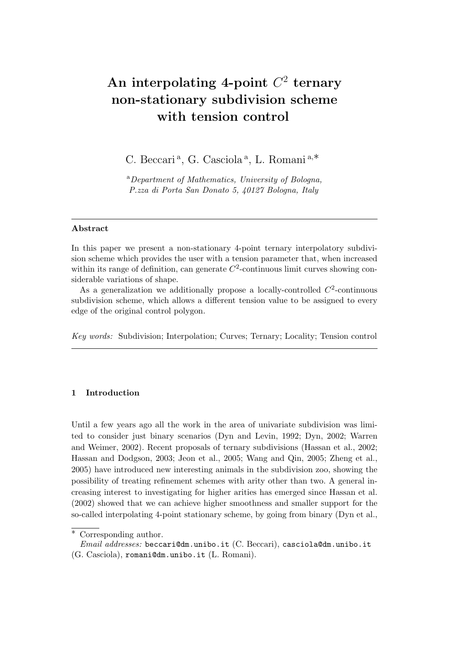# **An interpolating 4-point** *C* 2 **ternary non-stationary subdivision scheme with tension control**

C. Beccari <sup>a</sup> , G. Casciola <sup>a</sup> , L. Romani <sup>a</sup>*,∗*

<sup>a</sup>*Department of Mathematics, University of Bologna, P.zza di Porta San Donato 5, 40127 Bologna, Italy*

## **Abstract**

In this paper we present a non-stationary 4-point ternary interpolatory subdivision scheme which provides the user with a tension parameter that, when increased within its range of definition, can generate  $C<sup>2</sup>$ -continuous limit curves showing considerable variations of shape.

As a generalization we additionally propose a locally-controlled  $C<sup>2</sup>$ -continuous subdivision scheme, which allows a different tension value to be assigned to every edge of the original control polygon.

*Key words:* Subdivision; Interpolation; Curves; Ternary; Locality; Tension control

# **1 Introduction**

Until a few years ago all the work in the area of univariate subdivision was limited to consider just binary scenarios (Dyn and Levin, 1992; Dyn, 2002; Warren and Weimer, 2002). Recent proposals of ternary subdivisions (Hassan et al., 2002; Hassan and Dodgson, 2003; Jeon et al., 2005; Wang and Qin, 2005; Zheng et al., 2005) have introduced new interesting animals in the subdivision zoo, showing the possibility of treating refinement schemes with arity other than two. A general increasing interest to investigating for higher arities has emerged since Hassan et al. (2002) showed that we can achieve higher smoothness and smaller support for the so-called interpolating 4-point stationary scheme, by going from binary (Dyn et al.,

*<sup>∗</sup>* Corresponding author.

*Email addresses:* beccari@dm.unibo.it (C. Beccari), casciola@dm.unibo.it (G. Casciola), romani@dm.unibo.it (L. Romani).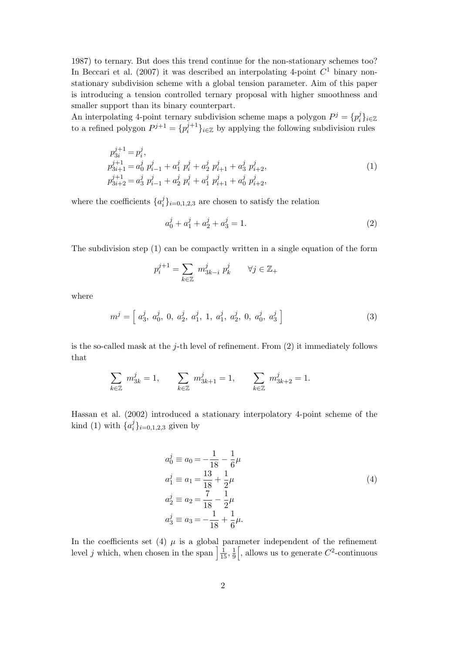1987) to ternary. But does this trend continue for the non-stationary schemes too? In Beccari et al.  $(2007)$  it was described an interpolating 4-point  $C<sup>1</sup>$  binary nonstationary subdivision scheme with a global tension parameter. Aim of this paper is introducing a tension controlled ternary proposal with higher smoothness and smaller support than its binary counterpart.

An interpolating 4-point ternary subdivision scheme maps a polygon  $P^j = \{p_i^j\}$ *i }i∈*<sup>Z</sup> to a refined polygon  $P^{j+1} = \{p_i^{j+1}\}$  $\{a_i^{j+1}\}_{i \in \mathbb{Z}}$  by applying the following subdivision rules

$$
p_{3i}^{j+1} = p_i^j,
$$
  
\n
$$
p_{3i+1}^{j+1} = a_0^j p_{i-1}^j + a_1^j p_i^j + a_2^j p_{i+1}^j + a_3^j p_{i+2}^j,
$$
  
\n
$$
p_{3i+2}^{j+1} = a_3^j p_{i-1}^j + a_2^j p_i^j + a_1^j p_{i+1}^j + a_0^j p_{i+2}^j,
$$
\n(1)

where the coefficients  $\{a_i^j\}$  $\binom{J}{i}$ <sub>*i*=0*,*1*,*2*,*3 are chosen to satisfy the relation</sub>

$$
a_0^j + a_1^j + a_2^j + a_3^j = 1.
$$
 (2)

The subdivision step (1) can be compactly written in a single equation of the form

$$
p_i^{j+1} = \sum_{k \in \mathbb{Z}} m_{3k-i}^j \ p_k^j \qquad \forall j \in \mathbb{Z}_+
$$

where

$$
m^{j} = \left[ a_{3}^{j}, a_{0}^{j}, 0, a_{2}^{j}, a_{1}^{j}, 1, a_{1}^{j}, a_{2}^{j}, 0, a_{0}^{j}, a_{3}^{j} \right]
$$
(3)

is the so-called mask at the *j*-th level of refinement. From (2) it immediately follows that

$$
\sum_{k\in\mathbb{Z}}\ m_{3k}^j=1,\qquad \sum_{k\in\mathbb{Z}}\ m_{3k+1}^j=1,\qquad \sum_{k\in\mathbb{Z}}\ m_{3k+2}^j=1.
$$

Hassan et al. (2002) introduced a stationary interpolatory 4-point scheme of the kind (1) with  $\{a_i^j\}$  $\{a_i\}_{i=0,1,2,3}$  given by

$$
a_0^j \equiv a_0 = -\frac{1}{18} - \frac{1}{6}\mu
$$
  
\n
$$
a_1^j \equiv a_1 = \frac{13}{18} + \frac{1}{2}\mu
$$
  
\n
$$
a_2^j \equiv a_2 = \frac{7}{18} - \frac{1}{2}\mu
$$
  
\n
$$
a_3^j \equiv a_3 = -\frac{1}{18} + \frac{1}{6}\mu.
$$
\n(4)

In the coefficients set (4)  $\mu$  is a global parameter independent of the refinement level *j* which, when chosen in the span  $\frac{1}{15}$ ,  $\frac{1}{9}$  $\overline{9}$  $\left[$ , allows us to generate  $C^2$ -continuous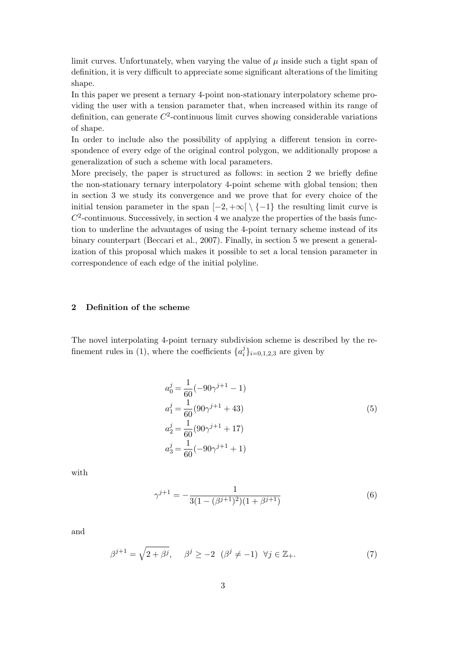limit curves. Unfortunately, when varying the value of *µ* inside such a tight span of definition, it is very difficult to appreciate some significant alterations of the limiting shape.

In this paper we present a ternary 4-point non-stationary interpolatory scheme providing the user with a tension parameter that, when increased within its range of definition, can generate  $C^2$ -continuous limit curves showing considerable variations of shape.

In order to include also the possibility of applying a different tension in correspondence of every edge of the original control polygon, we additionally propose a generalization of such a scheme with local parameters.

More precisely, the paper is structured as follows: in section 2 we briefly define the non-stationary ternary interpolatory 4-point scheme with global tension; then in section 3 we study its convergence and we prove that for every choice of the initial tension parameter in the span  $[-2, +\infty] \setminus \{-1\}$  the resulting limit curve is  $C<sup>2</sup>$ -continuous. Successively, in section 4 we analyze the properties of the basis function to underline the advantages of using the 4-point ternary scheme instead of its binary counterpart (Beccari et al., 2007). Finally, in section 5 we present a generalization of this proposal which makes it possible to set a local tension parameter in correspondence of each edge of the initial polyline.

# **2 Definition of the scheme**

The novel interpolating 4-point ternary subdivision scheme is described by the refinement rules in (1), where the coefficients  $\{a_i^j\}$  $\{G_i\}_{i=0,1,2,3}$  are given by

$$
a_0^j = \frac{1}{60}(-90\gamma^{j+1} - 1)
$$
  
\n
$$
a_1^j = \frac{1}{60}(90\gamma^{j+1} + 43)
$$
  
\n
$$
a_2^j = \frac{1}{60}(90\gamma^{j+1} + 17)
$$
  
\n
$$
a_3^j = \frac{1}{60}(-90\gamma^{j+1} + 1)
$$
\n(5)

with

$$
\gamma^{j+1} = -\frac{1}{3(1 - (\beta^{j+1})^2)(1 + \beta^{j+1})}
$$
(6)

and

$$
\beta^{j+1} = \sqrt{2 + \beta^j}, \quad \beta^j \ge -2 \ (\beta^j \ne -1) \ \forall j \in \mathbb{Z}_+.
$$
 (7)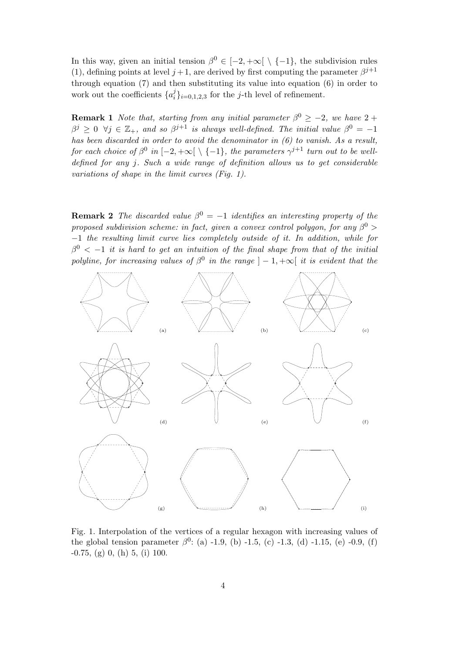In this way, given an initial tension  $\beta^0 \in [-2, +\infty] \setminus \{-1\}$ , the subdivision rules (1), defining points at level  $j+1$ , are derived by first computing the parameter  $\beta^{j+1}$ through equation (7) and then substituting its value into equation (6) in order to work out the coefficients  $\{a_i^j\}$  $\binom{J}{i}$ <sub>*i*=0*,*1*,*2*,*3 for the *j*-th level of refinement.</sub>

**Remark 1** *Note that, starting from any initial parameter*  $\beta^0 \geq -2$ *, we have* 2 +  $\beta^{j} \geq 0$   $\forall j \in \mathbb{Z}_{+}$ , and so  $\beta^{j+1}$  is always well-defined. The initial value  $\beta^{0} = -1$ *has been discarded in order to avoid the denominator in (6) to vanish. As a result, for each choice of*  $\beta^0$  *in*  $[-2, +\infty[ \setminus \{-1\}$ *, the parameters*  $\gamma^{j+1}$  *turn out to be welldefined for any j. Such a wide range of definition allows us to get considerable variations of shape in the limit curves (Fig. 1).*

**Remark 2** *The discarded value*  $\beta^0 = -1$  *identifies an interesting property of the proposed subdivision scheme: in fact, given a convex control polygon, for any β* <sup>0</sup> *> −*1 *the resulting limit curve lies completely outside of it. In addition, while for*  $\beta^0$  <  $-1$  *it is hard to get an intuition of the final shape from that of the initial polyline, for increasing values of*  $\beta^0$  *in the range*  $]-1, +\infty$  *it is evident that the* 



Fig. 1. Interpolation of the vertices of a regular hexagon with increasing values of the global tension parameter  $\beta^0$ : (a) -1.9, (b) -1.5, (c) -1.3, (d) -1.15, (e) -0.9, (f) -0.75, (g) 0, (h) 5, (i) 100.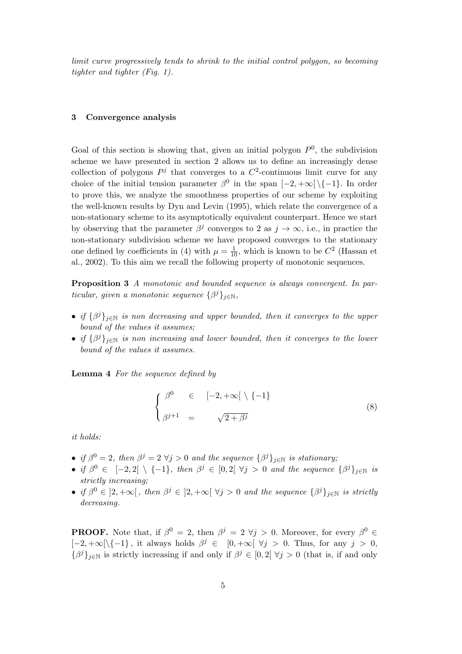*limit curve progressively tends to shrink to the initial control polygon, so becoming tighter and tighter (Fig. 1).*

# **3 Convergence analysis**

Goal of this section is showing that, given an initial polygon  $P^0$ , the subdivision scheme we have presented in section 2 allows us to define an increasingly dense collection of polygons  $P^j$  that converges to a  $C^2$ -continuous limit curve for any choice of the initial tension parameter  $\beta^0$  in the span  $[-2, +\infty] \setminus \{-1\}$ . In order to prove this, we analyze the smoothness properties of our scheme by exploiting the well-known results by Dyn and Levin (1995), which relate the convergence of a non-stationary scheme to its asymptotically equivalent counterpart. Hence we start by observing that the parameter  $\beta^j$  converges to 2 as  $j \to \infty$ , i.e., in practice the non-stationary subdivision scheme we have proposed converges to the stationary one defined by coefficients in (4) with  $\mu = \frac{1}{10}$ , which is known to be  $C^2$  (Hassan et al., 2002). To this aim we recall the following property of monotonic sequences.

**Proposition 3** *A monotonic and bounded sequence is always convergent. In particular, given a monotonic sequence*  $\{\beta^j\}_{j \in \mathbb{N}}$ *,* 

- *• if {β <sup>j</sup>}j∈*<sup>N</sup> *is non decreasing and upper bounded, then it converges to the upper bound of the values it assumes;*
- *• if {β <sup>j</sup>}j∈*<sup>N</sup> *is non increasing and lower bounded, then it converges to the lower bound of the values it assumes.*

**Lemma 4** *For the sequence defined by*

$$
\begin{cases}\n\beta^0 & \in [-2, +\infty[ \setminus \{-1\} \\
\beta^{j+1} & = \sqrt{2 + \beta^j}\n\end{cases}
$$
\n(8)

*it holds:*

- *if*  $\beta^0 = 2$ , then  $\beta^j = 2 \ \forall j > 0$  and the sequence  $\{\beta^j\}_{j \in \mathbb{N}}$  is stationary;
- if  $\beta^0 \in [-2,2[ \setminus \{-1\},\$  then  $\beta^j \in [0,2[ \forall j > 0\]$  and the sequence  $\{\beta^j\}_{j \in \mathbb{N}}\$  is *strictly increasing;*
- if  $\beta^0 \in [2, +\infty[$ , then  $\beta^j \in [2, +\infty[ \ \forall j > 0 \ \text{and the sequence } {\beta^j}_{j \in \mathbb{N}} \text{ is strictly }$ *decreasing.*

**PROOF.** Note that, if  $\beta^0 = 2$ , then  $\beta^j = 2 \ \forall j > 0$ . Moreover, for every  $\beta^0 \in$ [*−*2*,* +*∞*[*\{−*1*}* , it always holds *β <sup>j</sup> ∈* [0*,* +*∞*[ *∀j >* 0. Thus, for any *j >* 0, *{β*<sup>*j*</sup>*}*<sub>*j*∈N</sub> is strictly increasing if and only if  $\beta$ <sup>*j*</sup> ∈ [0, 2[  $\forall$ *j* > 0 (that is, if and only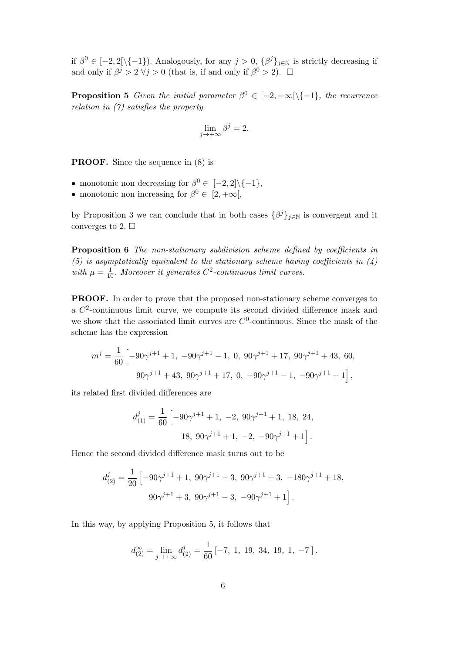if  $\beta^0 \in [-2, 2[\setminus\{-1\})$ . Analogously, for any  $j > 0$ ,  $\{\beta^j\}_{j \in \mathbb{N}}$  is strictly decreasing if and only if  $\beta^j > 2 \ \forall j > 0$  (that is, if and only if  $\beta^0 > 2$ ).  $\Box$ 

**Proposition 5** *Given the initial parameter*  $\beta^0 \in [-2, +\infty[\setminus\{-1\}]$ *, the recurrence relation in (7) satisfies the property*

$$
\lim_{j \to +\infty} \beta^j = 2.
$$

**PROOF.** Since the sequence in  $(8)$  is

- monotonic non decreasing for  $\beta^0 \in [-2, 2] \setminus \{-1\}$ ,
- monotonic non increasing for  $\beta^0 \in [2, +\infty],$

by Proposition 3 we can conclude that in both cases  $\{\beta^j\}_{j\in\mathbb{N}}$  is convergent and it converges to 2.  $\Box$ 

**Proposition 6** *The non-stationary subdivision scheme defined by coefficients in (5) is asymptotically equivalent to the stationary scheme having coefficients in (4)* with  $\mu = \frac{1}{10}$ *. Moreover it generates*  $C^2$ -continuous limit curves.

**PROOF.** In order to prove that the proposed non-stationary scheme converges to a  $C<sup>2</sup>$ -continuous limit curve, we compute its second divided difference mask and we show that the associated limit curves are  $C^0$ -continuous. Since the mask of the scheme has the expression

$$
m^{j} = \frac{1}{60} \left[ -90\gamma^{j+1} + 1, -90\gamma^{j+1} - 1, 0, 90\gamma^{j+1} + 17, 90\gamma^{j+1} + 43, 60, \right.
$$
  

$$
90\gamma^{j+1} + 43, 90\gamma^{j+1} + 17, 0, -90\gamma^{j+1} - 1, -90\gamma^{j+1} + 1 \right],
$$

its related first divided differences are

$$
d_{(1)}^{j} = \frac{1}{60} \left[ -90\gamma^{j+1} + 1, -2, 90\gamma^{j+1} + 1, 18, 24, \right.
$$
  
18,  $90\gamma^{j+1} + 1, -2, -90\gamma^{j+1} + 1 \right].$ 

Hence the second divided difference mask turns out to be

$$
d_{(2)}^j = \frac{1}{20} \left[ -90\gamma^{j+1} + 1, \ 90\gamma^{j+1} - 3, \ 90\gamma^{j+1} + 3, \ -180\gamma^{j+1} + 18, \ 90\gamma^{j+1} + 3, \ 90\gamma^{j+1} - 3, \ -90\gamma^{j+1} + 1 \right].
$$

In this way, by applying Proposition 5, it follows that

$$
d_{(2)}^{\infty} = \lim_{j \to +\infty} d_{(2)}^j = \frac{1}{60} \left[ -7, 1, 19, 34, 19, 1, -7 \right].
$$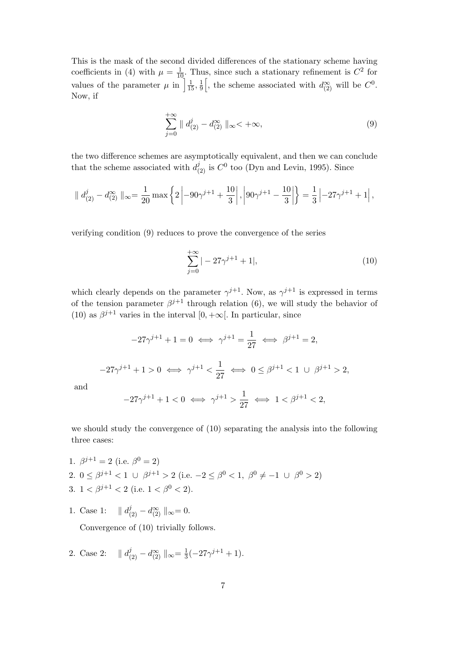This is the mask of the second divided differences of the stationary scheme having coefficients in (4) with  $\mu = \frac{1}{10}$ . Thus, since such a stationary refinement is  $C^2$  for values of the parameter  $\mu$  in  $\frac{1}{15}$ ,  $\frac{1}{9}$ 9 , the scheme associated with  $d_{(2)}^{\infty}$  will be  $C^0$ . Now, if

$$
\sum_{j=0}^{+\infty} \| d_{(2)}^j - d_{(2)}^{\infty} \|_{\infty} < +\infty,
$$
\n(9)

the two difference schemes are asymptotically equivalent, and then we can conclude that the scheme associated with  $d_{(2)}^j$  is  $C^0$  too (Dyn and Levin, 1995). Since

$$
\| d^j_{(2)} - d^\infty_{(2)} \|_\infty = \frac{1}{20} \max \left\{ 2 \left| -90\gamma^{j+1} + \frac{10}{3} \right|, \left| 90\gamma^{j+1} - \frac{10}{3} \right| \right\} = \frac{1}{3} \left| -27\gamma^{j+1} + 1 \right|,
$$

verifying condition (9) reduces to prove the convergence of the series

$$
\sum_{j=0}^{+\infty}|-27\gamma^{j+1}+1|,\tag{10}
$$

which clearly depends on the parameter  $\gamma^{j+1}$ . Now, as  $\gamma^{j+1}$  is expressed in terms of the tension parameter  $\beta^{j+1}$  through relation (6), we will study the behavior of (10) as  $\beta^{j+1}$  varies in the interval [0, + $\infty$ [. In particular, since

$$
-27\gamma^{j+1} + 1 = 0 \iff \gamma^{j+1} = \frac{1}{27} \iff \beta^{j+1} = 2,
$$
  

$$
-27\gamma^{j+1} + 1 > 0 \iff \gamma^{j+1} < \frac{1}{27} \iff 0 \le \beta^{j+1} < 1 \text{ or } \beta^{j+1} > 2,
$$
  

$$
-27\gamma^{j+1} + 1 < 0 \iff \gamma^{j+1} > \frac{1}{27} \iff 1 < \beta^{j+1} < 2,
$$

we should study the convergence of (10) separating the analysis into the following three cases:

- 1.  $\beta^{j+1} = 2$  (i.e.  $\beta^0 = 2$ ) 2.  $0 \le \beta^{j+1} < 1 \cup \beta^{j+1} > 2$  (i.e.  $-2 \le \beta^0 < 1, \ \beta^0 \ne -1 \cup \beta^0 > 2$ ) 3.  $1 < \beta^{j+1} < 2$  (i.e.  $1 < \beta^0 < 2$ ).
- 1. Case 1:  $|| d_{(2)}^j d_{(2)}^{\infty} ||_{\infty} = 0.$

and

Convergence of (10) trivially follows.

2. Case 2:  $|| d_{(2)}^j - d_{(2)}^{\infty} ||_{\infty} = \frac{1}{3}$  $\frac{1}{3}(-27\gamma^{j+1}+1).$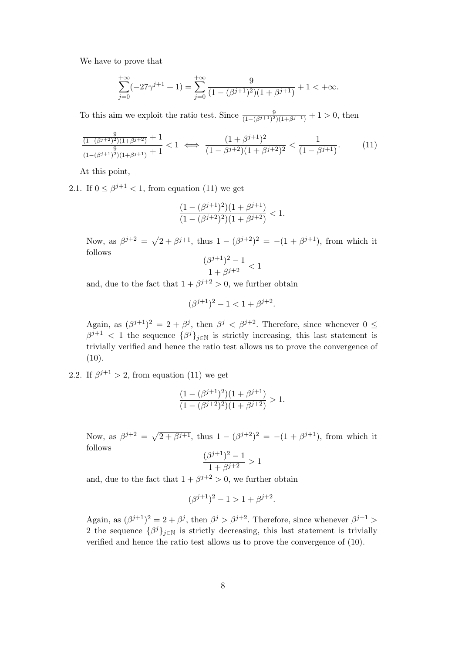We have to prove that

$$
\sum_{j=0}^{+\infty}(-27\gamma^{j+1}+1) = \sum_{j=0}^{+\infty} \frac{9}{(1-(\beta^{j+1})^2)(1+\beta^{j+1})} + 1 < +\infty.
$$

To this aim we exploit the ratio test. Since  $\frac{9}{(1-(\beta^{j+1})^2)(1+\beta^{j+1})} + 1 > 0$ , then

$$
\frac{\frac{9}{(1-(\beta^{j+2})^2)(1+\beta^{j+2})}+1}{\frac{9}{(1-(\beta^{j+1})^2)(1+\beta^{j+1})}+1} < 1 \iff \frac{(1+\beta^{j+1})^2}{(1-\beta^{j+2})(1+\beta^{j+2})^2} < \frac{1}{(1-\beta^{j+1})}.
$$
(11)

At this point,

2.1. If  $0 \leq \beta^{j+1} < 1$ , from equation (11) we get

$$
\frac{(1-(\beta^{j+1})^2)(1+\beta^{j+1})}{(1-(\beta^{j+2})^2)(1+\beta^{j+2})} < 1.
$$

Now, as  $\beta^{j+2} = \sqrt{2 + \beta^{j+1}}$ , thus  $1 - (\beta^{j+2})^2 = -(1 + \beta^{j+1})$ , from which it follows

$$
\frac{(\beta^{j+1})^2-1}{1+\beta^{j+2}}<1
$$

and, due to the fact that  $1 + \beta^{j+2} > 0$ , we further obtain

$$
(\beta^{j+1})^2 - 1 < 1 + \beta^{j+2}.
$$

Again, as  $(\beta^{j+1})^2 = 2 + \beta^j$ , then  $\beta^j < \beta^{j+2}$ . Therefore, since whenever  $0 \leq$  $\beta^{j+1}$  < 1 the sequence  $\{\beta^j\}_{j\in\mathbb{N}}$  is strictly increasing, this last statement is trivially verified and hence the ratio test allows us to prove the convergence of  $(10).$ 

2.2. If  $\beta^{j+1} > 2$ , from equation (11) we get

$$
\frac{(1 - (\beta^{j+1})^2)(1 + \beta^{j+1})}{(1 - (\beta^{j+2})^2)(1 + \beta^{j+2})} > 1.
$$

Now, as  $\beta^{j+2} = \sqrt{2 + \beta^{j+1}}$ , thus  $1 - (\beta^{j+2})^2 = -(1 + \beta^{j+1})$ , from which it follows

$$
\frac{(\beta^{j+1})^2 - 1}{1 + \beta^{j+2}} > 1
$$

and, due to the fact that  $1 + \beta^{j+2} > 0$ , we further obtain

$$
(\beta^{j+1})^2 - 1 > 1 + \beta^{j+2}.
$$

Again, as  $(\beta^{j+1})^2 = 2 + \beta^j$ , then  $\beta^j > \beta^{j+2}$ . Therefore, since whenever  $\beta^{j+1}$ 2 the sequence  $\{\beta^j\}_{j\in\mathbb{N}}$  is strictly decreasing, this last statement is trivially verified and hence the ratio test allows us to prove the convergence of (10).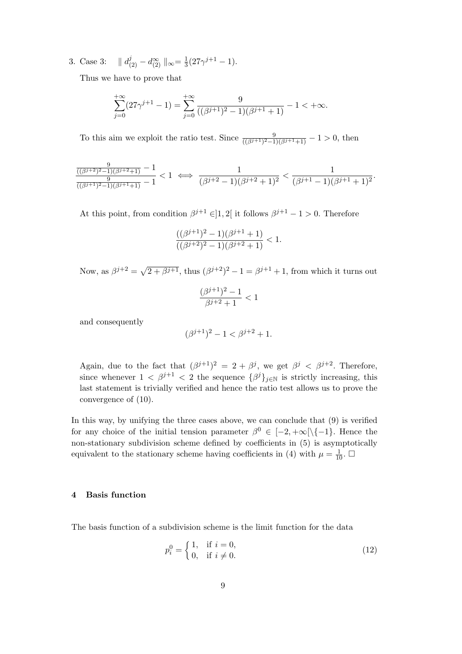3. Case 3:  $|| d_{(2)}^j - d_{(2)}^{\infty} ||_{\infty} = \frac{1}{3}$  $\frac{1}{3}(27\gamma^{j+1} - 1).$ 

Thus we have to prove that

$$
\sum_{j=0}^{+\infty} (27\gamma^{j+1} - 1) = \sum_{j=0}^{+\infty} \frac{9}{((\beta^{j+1})^2 - 1)(\beta^{j+1} + 1)} - 1 < +\infty.
$$

To this aim we exploit the ratio test. Since  $\frac{9}{((\beta^{j+1})^2-1)(\beta^{j+1}+1)} - 1 > 0$ , then

$$
\frac{\frac{9}{((\beta^{j+2})^2-1)(\beta^{j+2}+1)}-1}{\frac{9}{((\beta^{j+1})^2-1)(\beta^{j+1}+1)}-1} < 1 \iff \frac{1}{(\beta^{j+2}-1)(\beta^{j+2}+1)^2} < \frac{1}{(\beta^{j+1}-1)(\beta^{j+1}+1)^2}.
$$

At this point, from condition  $\beta^{j+1} \in ]1,2[$  it follows  $\beta^{j+1} - 1 > 0$ . Therefore

$$
\frac{((\beta^{j+1})^2 - 1)(\beta^{j+1} + 1)}{((\beta^{j+2})^2 - 1)(\beta^{j+2} + 1)} < 1.
$$

Now, as  $\beta^{j+2} = \sqrt{2 + \beta^{j+1}}$ , thus  $(\beta^{j+2})^2 - 1 = \beta^{j+1} + 1$ , from which it turns out

$$
\frac{(\beta^{j+1})^2 - 1}{\beta^{j+2} + 1} < 1
$$

and consequently

$$
(\beta^{j+1})^2 - 1 < \beta^{j+2} + 1.
$$

Again, due to the fact that  $(\beta^{j+1})^2 = 2 + \beta^j$ , we get  $\beta^j < \beta^{j+2}$ . Therefore, since whenever  $1 < \beta^{j+1} < 2$  the sequence  $\{\beta^j\}_{j \in \mathbb{N}}$  is strictly increasing, this last statement is trivially verified and hence the ratio test allows us to prove the convergence of (10).

In this way, by unifying the three cases above, we can conclude that (9) is verified for any choice of the initial tension parameter  $\beta^0 \in [-2, +\infty[\setminus\{-1\}]$ . Hence the non-stationary subdivision scheme defined by coefficients in (5) is asymptotically equivalent to the stationary scheme having coefficients in (4) with  $\mu = \frac{1}{10}$ .  $\Box$ 

#### **4 Basis function**

The basis function of a subdivision scheme is the limit function for the data

$$
p_i^0 = \begin{cases} 1, & \text{if } i = 0, \\ 0, & \text{if } i \neq 0. \end{cases}
$$
 (12)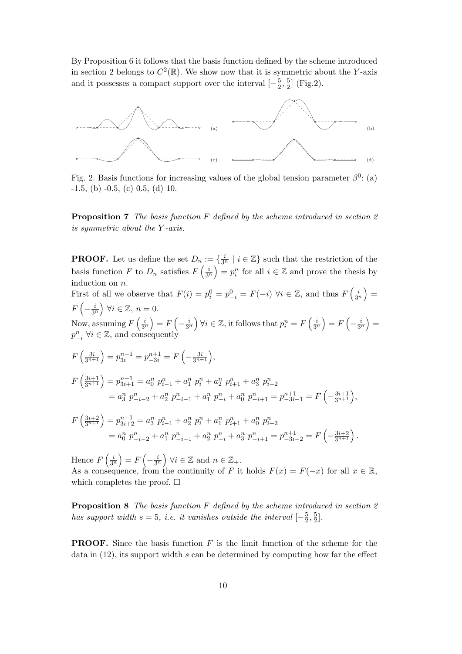By Proposition 6 it follows that the basis function defined by the scheme introduced in section 2 belongs to  $C^2(\mathbb{R})$ . We show now that it is symmetric about the *Y*-axis and it possesses a compact support over the interval  $\left[-\frac{5}{2}\right]$  $\frac{5}{2}, \frac{5}{2}$  $\frac{5}{2}$  (Fig.2).



Fig. 2. Basis functions for increasing values of the global tension parameter  $\beta^0$ : (a)  $-1.5$ , (b)  $-0.5$ , (c)  $0.5$ , (d) 10.

**Proposition 7** *The basis function F defined by the scheme introduced in section 2 is symmetric about the Y -axis.*

**PROOF.** Let us define the set  $D_n := \{ \frac{i}{3^n} \mid i \in \mathbb{Z} \}$  such that the restriction of the basis function *F* to  $D_n$  satisfies  $F\left(\frac{i}{3^n}\right)$  $= p_i^n$  for all  $i \in \mathbb{Z}$  and prove the thesis by induction on *n*.

First of all we observe that  $F(i) = p_i^0 = p_{-i}^0 = F(-i) \,\forall i \in \mathbb{Z}$ , and thus  $F\left(\frac{i}{3^n}\right)$  $) =$  $F\left(-\frac{i}{3^n}\right) \forall i \in \mathbb{Z}, n = 0.$ 3*<sup>n</sup>* Now, assuming  $F\left(\frac{i}{3^n}\right)$  $= F\left(-\frac{i}{3^n}\right)$  $\forall i \in \mathbb{Z}$ , it follows that  $p_i^n = F\left(\frac{i}{3^n}\right)$  $= F\left(-\frac{i}{3^n}\right)$  $) =$ *p*<sup>*n*</sup><sub>*-i*</sub> ∀*i*  $\in \mathbb{Z}$ , and consequently

$$
F\left(\frac{3i}{3^{n+1}}\right) = p_{3i}^{n+1} = p_{-3i}^{n+1} = F\left(-\frac{3i}{3^{n+1}}\right),
$$
  
\n
$$
F\left(\frac{3i+1}{3^{n+1}}\right) = p_{3i+1}^{n+1} = a_0^n p_{i-1}^n + a_1^n p_i^n + a_2^n p_{i+1}^n + a_3^n p_{i+2}^n
$$
  
\n
$$
= a_3^n p_{-i-2}^n + a_2^n p_{-i-1}^n + a_1^n p_{-i}^n + a_0^n p_{-i+1}^n = p_{-3i-1}^{n+1} = F\left(-\frac{3i+1}{3^{n+1}}\right),
$$

$$
F\left(\frac{3i+2}{3^{n+1}}\right) = p_{3i+2}^{n+1} = a_3^n p_{i-1}^n + a_2^n p_i^n + a_1^n p_{i+1}^n + a_0^n p_{i+2}^n
$$
  
=  $a_0^n p_{i-2}^n + a_1^n p_{i-1}^n + a_2^n p_{i}^n + a_3^n p_{i+1}^n = p_{-3i-2}^{n+1} = F\left(-\frac{3i+2}{3^{n+1}}\right).$ 

Hence  $F\left(\frac{i}{3^n}\right)$  $= F\left(-\frac{i}{3^n}\right)$  $\forall i \in \mathbb{Z} \text{ and } n \in \mathbb{Z}_{+}.$ 

As a consequence, from the continuity of *F* it holds  $F(x) = F(-x)$  for all  $x \in \mathbb{R}$ , which completes the proof.  $\square$ 

**Proposition 8** *The basis function F defined by the scheme introduced in section 2 has support width*  $s = 5$ , *i.e. it vanishes outside the interval*  $\left[-\frac{5}{2}\right]$  $\frac{5}{2}, \frac{5}{2}$  $\frac{5}{2}$ .

**PROOF.** Since the basis function *F* is the limit function of the scheme for the data in (12), its support width *s* can be determined by computing how far the effect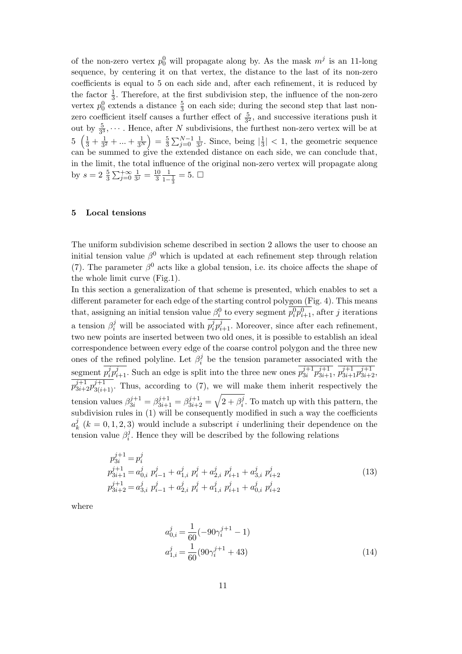of the non-zero vertex  $p_0^0$  will propagate along by. As the mask  $m^j$  is an 11-long sequence, by centering it on that vertex, the distance to the last of its non-zero coefficients is equal to 5 on each side and, after each refinement, it is reduced by the factor  $\frac{1}{3}$ . Therefore, at the first subdivision step, the influence of the non-zero vertex  $p_0^0$  extends a distance  $\frac{5}{3}$  on each side; during the second step that last nonzero coefficient itself causes a further effect of  $\frac{5}{3^2}$ , and successive iterations push it out by  $\frac{5}{3^3}$ ,  $\cdots$ . Hence, after *N* subdivisions, the furthest non-zero vertex will be at  $5\left(\frac{1}{3} + \frac{1}{3^2}\right)$  $\frac{1}{3^2} + \ldots + \frac{1}{3^N}$  $=$  $\frac{5}{3}$  $\frac{5}{3} \sum_{j=0}^{N-1} \frac{1}{3^j}$  $\frac{1}{3^j}$ . Since, being  $\left|\frac{1}{3}\right|$  $\frac{1}{3}$  | < 1, the geometric sequence can be summed to give the extended distance on each side, we can conclude that, in the limit, the total influence of the original non-zero vertex will propagate along by  $s = 2 \frac{5}{3} \sum_{j=0}^{+\infty} \frac{1}{3^j}$  $\frac{1}{3^j} = \frac{10}{3}$ 3  $\frac{1}{1-\frac{1}{3}}=5.$ 

## **5 Local tensions**

The uniform subdivision scheme described in section 2 allows the user to choose an initial tension value  $\beta^0$  which is updated at each refinement step through relation (7). The parameter  $\beta^0$  acts like a global tension, i.e. its choice affects the shape of the whole limit curve (Fig.1).

In this section a generalization of that scheme is presented, which enables to set a different parameter for each edge of the starting control polygon (Fig. 4). This means that, assigning an initial tension value  $\beta_i^0$  to every segment  $\overline{p_i^0 p_{i+1}^0}$ , after *j* iterations a tension  $\beta_i^j$  will be associated with  $p_i^j$  $a_i^j p_{i+1}^j$ . Moreover, since after each refinement, two new points are inserted between two old ones, it is possible to establish an ideal correspondence between every edge of the coarse control polygon and the three new ones of the refined polyline. Let  $\beta_i^j$  $\mu_i^j$  be the tension parameter associated with the segment *p j*  $i$ <sub>*i*</sub> $p$ <sup>*j*</sup><sub>*i*</sub>+1</sub>. Such an edge is split into the three new ones  $p_{3i}^{j+1}$  $\frac{j+1}{3i}p_{3i+1}^{j+1}, p_{3i+1}^{j+1}p_{3i+2}^{j+1},$  $p_{3i+2}^{j+1}p_{3(i+1)}^{j+1}$ . Thus, according to (7), we will make them inherit respectively the tension values  $\beta_{3i}^{j+1} = \beta_{3i+1}^{j+1} = \beta_{3i+2}^{j+1} = \sqrt{2 + \beta_i^j}$  $i<sup>j</sup>$ . To match up with this pattern, the subdivision rules in (1) will be consequently modified in such a way the coefficients  $a_k^j$  $\mathcal{L}_k^j$  ( $k = 0, 1, 2, 3$ ) would include a subscript *i* underlining their dependence on the tension value  $\beta_i^j$  $i<sup>j</sup>$ . Hence they will be described by the following relations

$$
p_{3i}^{j+1} = p_i^j
$$
  
\n
$$
p_{3i+1}^{j+1} = a_{0,i}^j \ p_{i-1}^j + a_{1,i}^j \ p_i^j + a_{2,i}^j \ p_{i+1}^j + a_{3,i}^j \ p_{i+2}^j
$$
  
\n
$$
p_{3i+2}^{j+1} = a_{3,i}^j \ p_{i-1}^j + a_{2,i}^j \ p_i^j + a_{1,i}^j \ p_{i+1}^j + a_{0,i}^j \ p_{i+2}^j
$$
\n(13)

where

$$
a_{0,i}^{j} = \frac{1}{60}(-90\gamma_i^{j+1} - 1)
$$
  
\n
$$
a_{1,i}^{j} = \frac{1}{60}(90\gamma_i^{j+1} + 43)
$$
\n(14)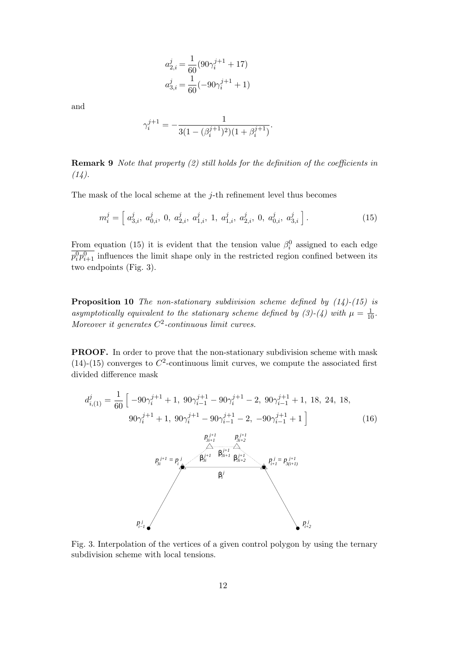$$
\begin{aligned} a_{2,i}^j = \frac{1}{60} (90 \gamma_i^{j+1} + 17) \\ a_{3,i}^j = \frac{1}{60} (-90 \gamma_i^{j+1} + 1) \end{aligned}
$$

and

$$
\gamma_i^{j+1} = -\frac{1}{3(1 - (\beta_i^{j+1})^2)(1 + \beta_i^{j+1})}.
$$

**Remark 9** *Note that property (2) still holds for the definition of the coefficients in (14).*

The mask of the local scheme at the *j*-th refinement level thus becomes

$$
m_i^j = \left[ a_{3,i}^j, a_{0,i}^j, 0, a_{2,i}^j, a_{1,i}^j, 1, a_{1,i}^j, a_{2,i}^j, 0, a_{0,i}^j, a_{3,i}^j \right].
$$
 (15)

From equation (15) it is evident that the tension value  $\beta_i^0$  assigned to each edge  $\overline{p_i^0 p_{i+1}^0}$  influences the limit shape only in the restricted region confined between its two endpoints (Fig. 3).

**Proposition 10** *The non-stationary subdivision scheme defined by (14)-(15) is* asymptotically equivalent to the stationary scheme defined by (3)-(4) with  $\mu = \frac{1}{10}$ . *Moreover it generates C* 2 *-continuous limit curves.*

**PROOF.** In order to prove that the non-stationary subdivision scheme with mask  $(14)-(15)$  converges to  $C^2$ -continuous limit curves, we compute the associated first divided difference mask

$$
d_{i,(1)}^{j} = \frac{1}{60} \left[ -90\gamma_{i}^{j+1} + 1, \ 90\gamma_{i-1}^{j+1} - 90\gamma_{i-1}^{j+1} - 2, \ 90\gamma_{i-1}^{j+1} + 1, \ 18, \ 24, \ 18, \ 90\gamma_{i}^{j+1} + 1, \ 90\gamma_{i}^{j+1} - 90\gamma_{i-1}^{j+1} - 2, \ -90\gamma_{i-1}^{j+1} + 1 \right]
$$
\n
$$
P_{3i+1}^{j+1} = P_{3i+2}^{j+1} \qquad (16)
$$
\n
$$
P_{3i}^{j+1} = P_{i}^{j} \qquad \beta_{3i}^{j+1} \qquad \beta_{3i+2}^{j+1} \qquad \beta_{3i+2}^{j+1}
$$
\n
$$
\beta_{i}^{j}
$$
\n
$$
\beta_{i}^{j}
$$
\n
$$
P_{i-1}^{j}
$$
\n
$$
P_{i-1}^{j}
$$
\n
$$
P_{i+2}^{j}
$$
\n
$$
P_{i+2}^{j}
$$
\n
$$
P_{i+2}^{j}
$$
\n
$$
P_{i+2}^{j}
$$
\n
$$
P_{i+2}^{j}
$$
\n
$$
P_{i+2}^{j}
$$
\n
$$
P_{i+2}^{j}
$$
\n
$$
P_{i+2}^{j}
$$
\n
$$
P_{i+2}^{j}
$$
\n
$$
P_{i+2}^{j}
$$
\n
$$
P_{i+2}^{j}
$$
\n
$$
P_{i+2}^{j}
$$
\n
$$
P_{i+2}^{j}
$$
\n
$$
P_{i+2}^{j}
$$
\n
$$
P_{i+2}^{j}
$$
\n
$$
P_{i+2}^{j}
$$
\n
$$
P_{i+2}^{j}
$$
\n
$$
(16)
$$

Fig. 3. Interpolation of the vertices of a given control polygon by using the ternary subdivision scheme with local tensions.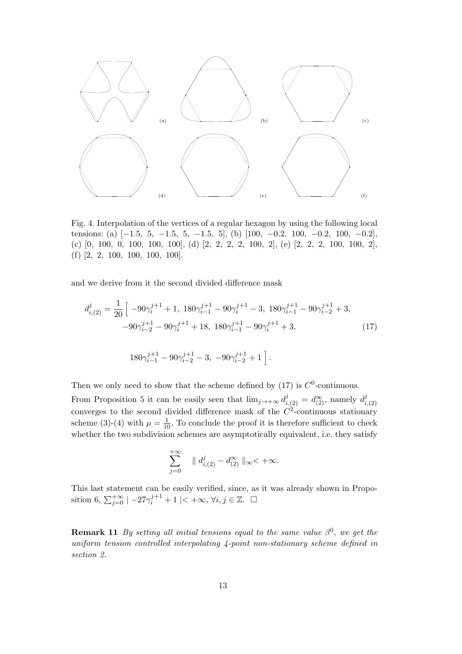

Fig. 4. Interpolation of the vertices of a regular hexagon by using the following local tensions: (a)  $[-1.5, 5, -1.5, 5, -1.5, 5]$ , (b)  $[100, -0.2, 100, -0.2, 100, -0.2]$ (c) [0*,* 100*,* 0*,* 100*,* 100*,* 100], (d) [2*,* 2*,* 2*,* 2*,* 100*,* 2], (e) [2*,* 2*,* 2*,* 100*,* 100*,* 2], (f) [2*,* 2*,* 100*,* 100*,* 100*,* 100].

and we derive from it the second divided difference mask

$$
d_{i,(2)}^j = \frac{1}{20} \left[ -90\gamma_i^{j+1} + 1, 180\gamma_{i-1}^{j+1} - 90\gamma_i^{j+1} - 3, 180\gamma_{i-1}^{j+1} - 90\gamma_{i-2}^{j+1} + 3, -90\gamma_{i-2}^{j+1} - 90\gamma_i^{j+1} + 18, 180\gamma_{i-1}^{j+1} - 90\gamma_i^{j+1} + 3, \right.
$$
\n
$$
(17)
$$
\n
$$
180\gamma_{i-1}^{j+1} - 90\gamma_{i-2}^{j+1} - 3, -90\gamma_{i-2}^{j+1} + 1 \right].
$$

Then we only need to show that the scheme defined by  $(17)$  is  $C^0$ -continuous.

From Proposition 5 it can be easily seen that  $\lim_{j\to+\infty} d_{i,(2)}^j = d_{(2)}^{\infty}$ , namely  $d_i^j$ *i,*(2) converges to the second divided difference mask of the  $C<sup>2</sup>$ -continuous stationary scheme (3)-(4) with  $\mu = \frac{1}{10}$ . To conclude the proof it is therefore sufficient to check whether the two subdivision schemes are asymptotically equivalent, i.e. they satisfy

$$
\sum_{j=0}^{+\infty} \quad || d_{i,(2)}^j - d_{(2)}^{\infty} ||_{\infty} < +\infty.
$$

This last statement can be easily verified, since, as it was already shown in Proposition 6,  $\sum_{j=0}^{+\infty}$  | −27 $\gamma_i^{j+1}$  + 1 |< +∞,  $\forall i, j \in \mathbb{Z}$ . □

**Remark 11** *By setting all initial tensions equal to the same value*  $\beta^0$ , we get the *uniform tension controlled interpolating 4-point non-stationary scheme defined in section 2.*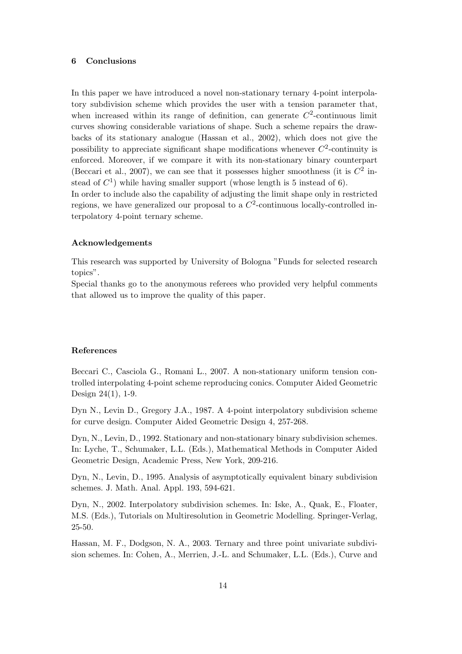## **6 Conclusions**

In this paper we have introduced a novel non-stationary ternary 4-point interpolatory subdivision scheme which provides the user with a tension parameter that, when increased within its range of definition, can generate  $C^2$ -continuous limit curves showing considerable variations of shape. Such a scheme repairs the drawbacks of its stationary analogue (Hassan et al., 2002), which does not give the possibility to appreciate significant shape modifications whenever  $C^2$ -continuity is enforced. Moreover, if we compare it with its non-stationary binary counterpart (Beccari et al., 2007), we can see that it possesses higher smoothness (it is  $C^2$  instead of  $C<sup>1</sup>$ ) while having smaller support (whose length is 5 instead of 6).

In order to include also the capability of adjusting the limit shape only in restricted regions, we have generalized our proposal to a  $C<sup>2</sup>$ -continuous locally-controlled interpolatory 4-point ternary scheme.

# **Acknowledgements**

This research was supported by University of Bologna "Funds for selected research topics".

Special thanks go to the anonymous referees who provided very helpful comments that allowed us to improve the quality of this paper.

### **References**

Beccari C., Casciola G., Romani L., 2007. A non-stationary uniform tension controlled interpolating 4-point scheme reproducing conics. Computer Aided Geometric Design 24(1), 1-9.

Dyn N., Levin D., Gregory J.A., 1987. A 4-point interpolatory subdivision scheme for curve design. Computer Aided Geometric Design 4, 257-268.

Dyn, N., Levin, D., 1992. Stationary and non-stationary binary subdivision schemes. In: Lyche, T., Schumaker, L.L. (Eds.), Mathematical Methods in Computer Aided Geometric Design, Academic Press, New York, 209-216.

Dyn, N., Levin, D., 1995. Analysis of asymptotically equivalent binary subdivision schemes. J. Math. Anal. Appl. 193, 594-621.

Dyn, N., 2002. Interpolatory subdivision schemes. In: Iske, A., Quak, E., Floater, M.S. (Eds.), Tutorials on Multiresolution in Geometric Modelling. Springer-Verlag, 25-50.

Hassan, M. F., Dodgson, N. A., 2003. Ternary and three point univariate subdivision schemes. In: Cohen, A., Merrien, J.-L. and Schumaker, L.L. (Eds.), Curve and